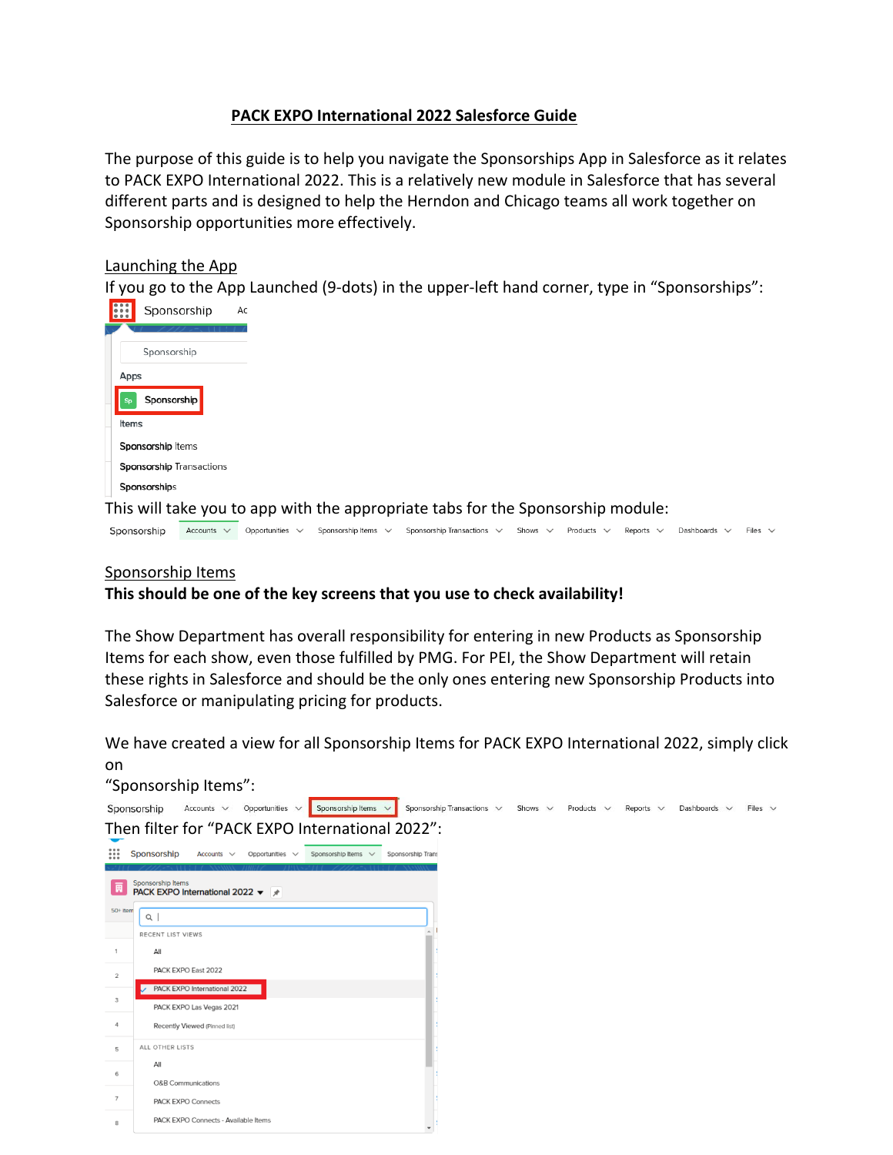# **PACK EXPO International 2022 Salesforce Guide**

The purpose of this guide is to help you navigate the Sponsorships App in Salesforce as it relates to PACK EXPO International 2022. This is a relatively new module in Salesforce that has several different parts and is designed to help the Herndon and Chicago teams all work together on Sponsorship opportunities more effectively.

# Launching the App

If you go to the App Launched (9-dots) in the upper-left hand corner, type in "Sponsorships":

| <br><b>EXECUTE</b> | Sponsorship                                                                     | Ac |
|--------------------|---------------------------------------------------------------------------------|----|
|                    |                                                                                 |    |
|                    | Sponsorship                                                                     |    |
|                    | Apps                                                                            |    |
|                    | Sponsorship                                                                     |    |
|                    | Items                                                                           |    |
|                    | Sponsorship Items                                                               |    |
|                    | <b>Sponsorship Transactions</b>                                                 |    |
|                    | Sponsorships                                                                    |    |
|                    | This will take you to app with the appropriate tabs for the Sponsorship module: |    |

Sponsorship Accounts v Opportunities v Sponsorship Items v Sponsorship Transactions v Shows v Products v Reports v Dashboards v Files v

# Sponsorship Items

# **This should be one of the key screens that you use to check availability!**

The Show Department has overall responsibility for entering in new Products as Sponsorship Items for each show, even those fulfilled by PMG. For PEI, the Show Department will retain these rights in Salesforce and should be the only ones entering new Sponsorship Products into Salesforce or manipulating pricing for products.

We have created a view for all Sponsorship Items for PACK EXPO International 2022, simply click on

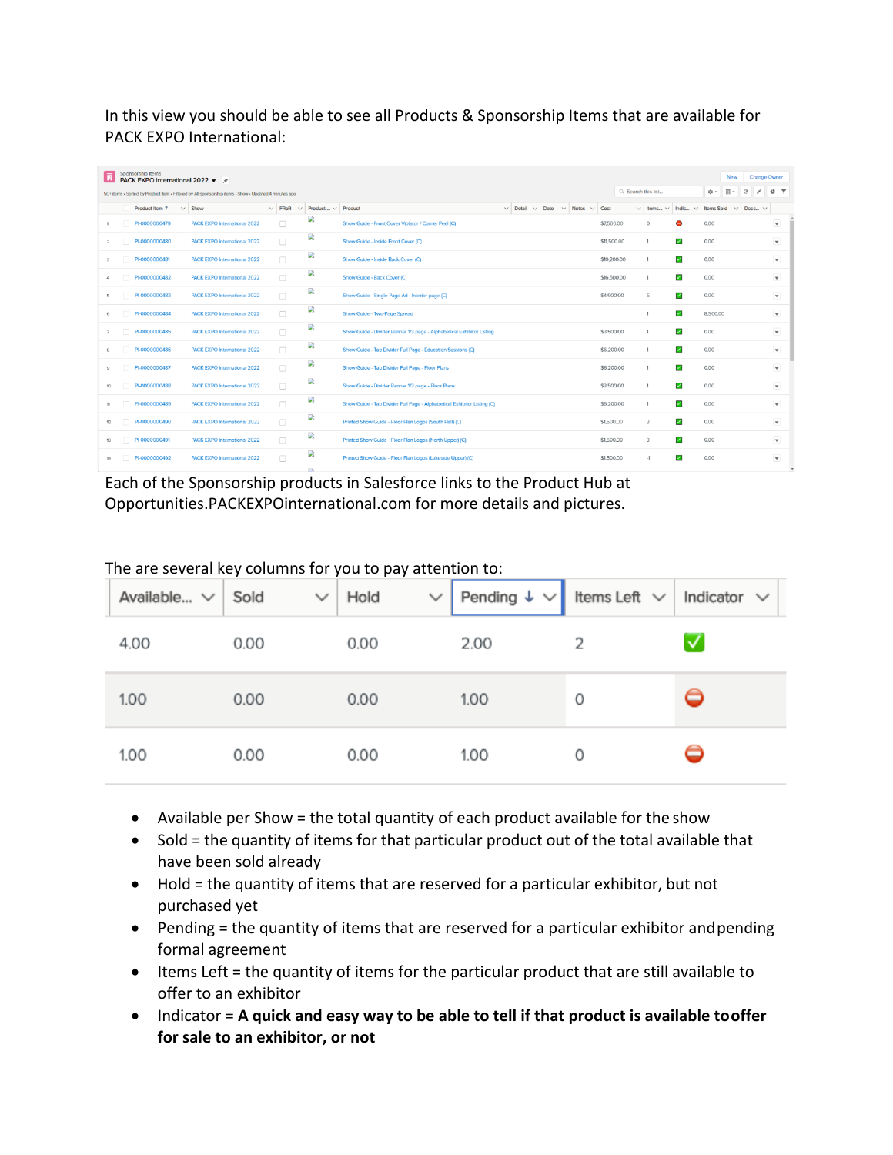In this view you should be able to see all Products & Sponsorship Items that are available for PACK EXPO International:

|                | Sponsorship Items<br>PACK EXPO International 2022 ▼ ★ |                                                                                                       |        |                                           |                                                                         |                     |                         |                          | New                                                            | <b>Change Owner</b>                    |
|----------------|-------------------------------------------------------|-------------------------------------------------------------------------------------------------------|--------|-------------------------------------------|-------------------------------------------------------------------------|---------------------|-------------------------|--------------------------|----------------------------------------------------------------|----------------------------------------|
|                |                                                       | 50+ items . Sorted by Product Item . Filtered by All sponsorship items - Show . Updated 4 minutes ago |        |                                           |                                                                         | Q. Search this list |                         |                          | $\overline{11}$<br>傘。                                          | $\mathbb{C}^{\mathsf{d}}$<br><b>CT</b> |
|                | Product Item 1<br>$\checkmark$                        | Show                                                                                                  |        | $\vee$ FRoR $\vee$ Product $\vee$ Product | $\vee$ Detail $\vee$ Date $\vee$ Notes $\vee$                           | Cost                |                         |                          | $\vee$ Items $\vee$ Indic $\vee$ Items Sold $\vee$ Desc $\vee$ |                                        |
|                | PI-0000000479                                         | <b>PACK EXPO International 2022</b>                                                                   | $\Box$ | D.                                        | Show Guide - Front Cover Violator / Corner Peel (C)                     | \$7,500.00          | $\circ$                 | Θ                        | 0.00                                                           | $\boldsymbol{\mathrm{v}}$              |
| $\overline{a}$ | PI-0000000480                                         | <b>PACK EXPO International 2022</b>                                                                   | $\Box$ | D.                                        | Show Guide - Inside Front Cover (C)                                     | \$11,500.00         |                         | $\overline{\mathscr{L}}$ | 0.00                                                           | $\mathbf{v}$                           |
| $\mathbf{3}$   | PI-0000000481                                         | <b>PACK EXPO International 2022</b>                                                                   | $\Box$ | D.                                        | Show Guide - Inside Back Cover (C)                                      | \$10,200.00         |                         | $\overline{\phantom{a}}$ | 0.00                                                           | $\mathbf{v}$                           |
| 4              | PI-0000000482                                         | <b>PACK EXPO International 2022</b>                                                                   | $\Box$ | B                                         | Show Guide - Back Cover (C)                                             | \$16,500.00         |                         | $\overline{\phantom{a}}$ | 0.00                                                           | $\overline{\mathbf{v}}$                |
| 5              | PI-0000000483                                         | <b>PACK EXPO International 2022</b>                                                                   | $\Box$ | D                                         | Show Guide - Single Page Ad - Interior page (C)                         | \$4,900.00          | 5                       | $\overline{\mathcal{L}}$ | 0.00                                                           | $\overline{\mathbf{v}}$                |
| 6              | PI-0000000484                                         | <b>PACK EXPO International 2022</b>                                                                   | $\Box$ | D                                         | Show Guide - Two-Page Spread                                            |                     |                         | $\overline{\phantom{a}}$ | 8.500.00                                                       | $\mathbf{v}$                           |
| $\overline{7}$ | PI-0000000485                                         | PACK EXPO International 2022                                                                          | $\Box$ | D.                                        | Show Guide - Divider Banner 1/3 page - Alphabetical Exhibitor Listing   | \$3,500.00          |                         | $\blacktriangleright$    | 0.00                                                           | $\boldsymbol{\mathrm{v}}$              |
| 8              | PI-0000000486                                         | <b>PACK EXPO International 2022</b>                                                                   | $\Box$ | D.                                        | Show Guide - Tab Divider Full Page - Education Sessions (C)             | \$6,200.00          |                         | $\overline{\phantom{a}}$ | 0.00                                                           | $\overline{\phantom{a}}$               |
| 9              | PI-0000000487                                         | PACK EXPO International 2022                                                                          | $\Box$ | D                                         | Show Guide - Tab Divider Full Page - Floor Plans                        | \$6,200.00          |                         | $\overline{\mathscr{L}}$ | 0.00                                                           | $\overline{\phantom{a}}$               |
| 10             | PI-0000000488                                         | <b>PACK EXPO International 2022</b>                                                                   | $\Box$ | D                                         | Show Guide - Divider Banner 1/3 page - Floor Plans                      | \$3,500.00          | 1                       | $\overline{\phantom{a}}$ | 0.00                                                           | $\mathbf{v}$                           |
| 11             | PI-0000000489                                         | <b>PACK EXPO International 2022</b>                                                                   | $\Box$ | D                                         | Show Guide - Tab Divider Full Page - Alphabetical Exhibitor Listing (C) | \$6,200.00          |                         | $\overline{\phantom{a}}$ | 0.00                                                           | $\overline{\mathbf{v}}$                |
| 12             | PI-0000000490                                         | <b>PACK EXPO International 2022</b>                                                                   | $\Box$ | D.                                        | Printed Show Guide - Floor Plan Logos (South Hall) (C)                  | \$1,500.00          | $\overline{\mathbf{3}}$ | $\prec$                  | 0.00                                                           | $\mathbf{v}$                           |
| 13             | PI-0000000491                                         | PACK EXPO International 2022                                                                          | $\Box$ | D                                         | Printed Show Guide - Floor Plan Logos (North Upper) (C)                 | \$1,500.00          | $\mathcal{R}$           | $\checkmark$             | 0.00                                                           | $\mathbf{v}$                           |
| 14             | PI-0000000492                                         | <b>PACK EXPO International 2022</b>                                                                   | $\Box$ | D                                         | Printed Show Guide - Floor Plan Logos (Lakeside Upper) (C)              | \$1,500.00          | $-1$                    | $\overline{\phantom{a}}$ | 0.00                                                           | $\overline{\mathbf{v}}$                |
|                |                                                       |                                                                                                       |        | <b>COL</b>                                |                                                                         |                     |                         |                          |                                                                |                                        |

Each of the Sponsorship products in Salesforce links to the Product Hub at Opportunities.PACKEXPOinternational.com for more details and pictures.

| Available $\vee$ Sold |      | $\vee$ Hold | $\vee$ | Pending $\downarrow \vee$ Items Left $\vee$ Indicator $\vee$ |   |   |
|-----------------------|------|-------------|--------|--------------------------------------------------------------|---|---|
| 4.00                  | 0.00 | 0.00        |        | 2.00                                                         |   | √ |
| 1.00                  | 0.00 | 0.00        |        | 1.00                                                         | 0 |   |
| 1.00                  | 0.00 | 0.00        |        | 1.00                                                         | 0 |   |

The are several key columns for you to pay attention to:

- Available per Show = the total quantity of each product available for the show
- Sold = the quantity of items for that particular product out of the total available that have been sold already
- Hold = the quantity of items that are reserved for a particular exhibitor, but not purchased yet
- Pending = the quantity of items that are reserved for a particular exhibitor andpending formal agreement
- Items Left = the quantity of items for the particular product that are still available to offer to an exhibitor
- Indicator = **A quick and easy way to be able to tell if that product is available tooffer for sale to an exhibitor, or not**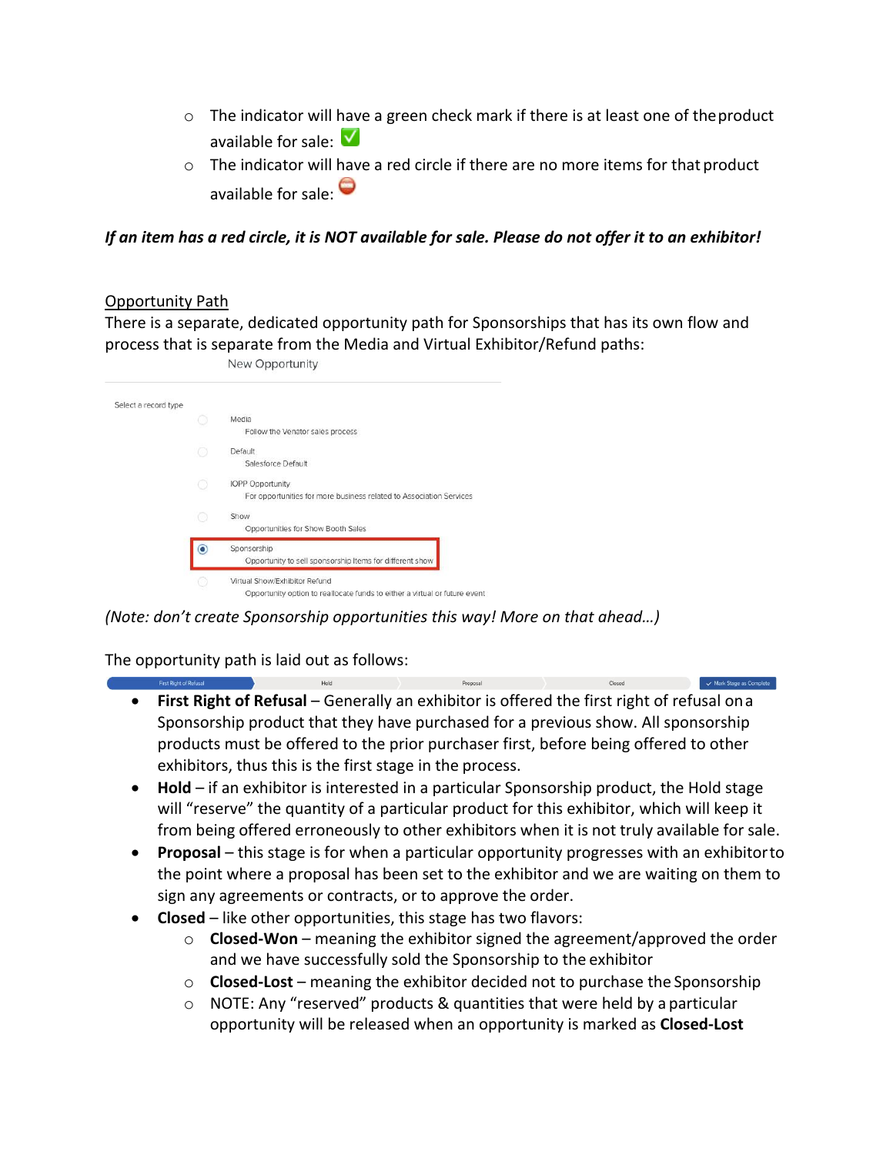- $\circ$  The indicator will have a green check mark if there is at least one of the product available for sale:  $\sqrt{ }$
- $\circ$  The indicator will have a red circle if there are no more items for that product available for sale:

*If an item has a red circle, it is NOT available for sale. Please do not offer it to an exhibitor!*

# Opportunity Path

There is a separate, dedicated opportunity path for Sponsorships that has its own flow and process that is separate from the Media and Virtual Exhibitor/Refund paths:

| New Opportunity |  |
|-----------------|--|
|                 |  |

| Select a record type |                                                                                                             |
|----------------------|-------------------------------------------------------------------------------------------------------------|
|                      | Media<br>Follow the Venator sales process                                                                   |
|                      | Default<br>Salesforce Default                                                                               |
|                      | <b>IOPP Opportunity</b><br>For opportunities for more business related to Association Services              |
|                      | Show<br>Opportunities for Show Booth Sales                                                                  |
|                      | Sponsorship<br>Opportunity to sell sponsorship Items for different show                                     |
|                      | Virtual Show/Exhibitor Refund<br>Opportunity option to reallocate funds to either a virtual or future event |

*(Note: don't create Sponsorship opportunities this way! More on that ahead…)*

The opportunity path is laid out as follows:

• **First Right of Refusal** – Generally an exhibitor is offered the first right of refusal ona Sponsorship product that they have purchased for a previous show. All sponsorship products must be offered to the prior purchaser first, before being offered to other exhibitors, thus this is the first stage in the process.

Mark Stage as Complete

- **Hold**  if an exhibitor is interested in a particular Sponsorship product, the Hold stage will "reserve" the quantity of a particular product for this exhibitor, which will keep it from being offered erroneously to other exhibitors when it is not truly available for sale.
- **Proposal**  this stage is for when a particular opportunity progresses with an exhibitorto the point where a proposal has been set to the exhibitor and we are waiting on them to sign any agreements or contracts, or to approve the order.
- **Closed**  like other opportunities, this stage has two flavors:
	- o **Closed-Won**  meaning the exhibitor signed the agreement/approved the order and we have successfully sold the Sponsorship to the exhibitor
	- o **Closed-Lost**  meaning the exhibitor decided not to purchase the Sponsorship
	- o NOTE: Any "reserved" products & quantities that were held by a particular opportunity will be released when an opportunity is marked as **Closed-Lost**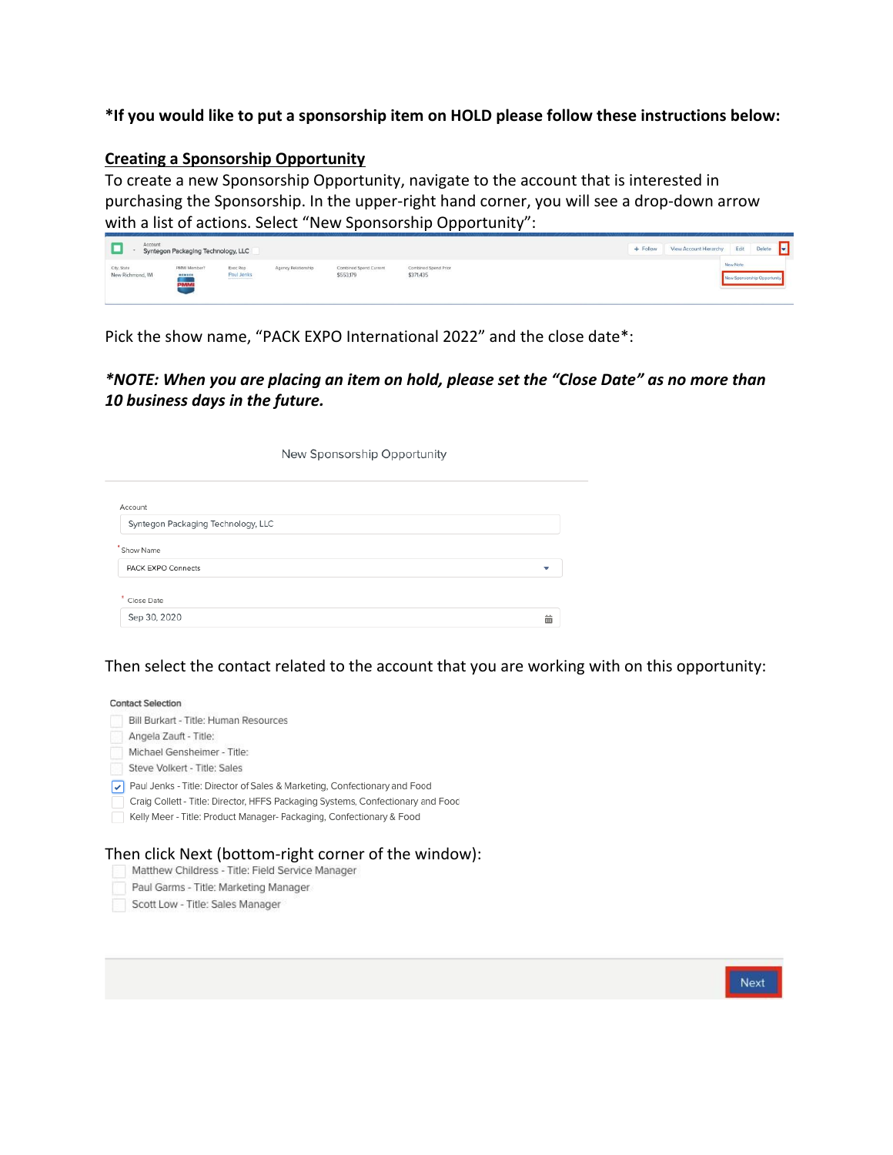### **\*If you would like to put a sponsorship item on HOLD please follow these instructions below:**

#### **Creating a Sponsorship Opportunity**

To create a new Sponsorship Opportunity, navigate to the account that is interested in purchasing the Sponsorship. In the upper-right hand corner, you will see a drop-down arrow with a list of actions. Select "New Sponsorship Opportunity":

| Account                         | Syntegon Packaging Technology, LLC |                        |                     |                                     |                                   | $+$ Follow | View Account Hierarchy | Edit     | Delete                      | E. |
|---------------------------------|------------------------------------|------------------------|---------------------|-------------------------------------|-----------------------------------|------------|------------------------|----------|-----------------------------|----|
| City, State<br>New Richmond, WI | PMMI Member?<br>$m$ cmaca<br>PMM   | Exec Rep<br>Paul Jenks | Agency Relationship | Combined Spend Current<br>\$553,179 | Combined Spend Prior<br>\$371,435 |            |                        | New Note | New Sponsorship Opportunity |    |

Pick the show name, "PACK EXPO International 2022" and the close date\*:

*\*NOTE: When you are placing an item on hold, please set the "Close Date" as no more than 10 business days in the future.*

| New Sponsorship Opportunity        |  |   |  |  |  |  |  |
|------------------------------------|--|---|--|--|--|--|--|
| Account                            |  |   |  |  |  |  |  |
| Syntegon Packaging Technology, LLC |  |   |  |  |  |  |  |
| Show Name                          |  |   |  |  |  |  |  |
| <b>PACK EXPO Connects</b>          |  | v |  |  |  |  |  |

Then select the contact related to the account that you are working with on this opportunity:

齒

#### **Contact Selection**

Sep 30, 2020

| Bill Burkart - Title: Human Resources                                           |
|---------------------------------------------------------------------------------|
| Angela Zauft - Title:                                                           |
| Michael Gensheimer - Title:                                                     |
| Steve Volkert - Title: Sales                                                    |
| Paul Jenks - Title: Director of Sales & Marketing, Confectionary and Food       |
| Craig Collett - Title: Director, HFFS Packaging Systems, Confectionary and Food |
| Kelly Meer - Title: Product Manager- Packaging, Confectionary & Food            |

# Then click Next (bottom-right corner of the window):<br>Matthew Childress - Title: Field Service Manager

- 
- Paul Garms Title: Marketing Manager
- Scott Low Title: Sales Manager

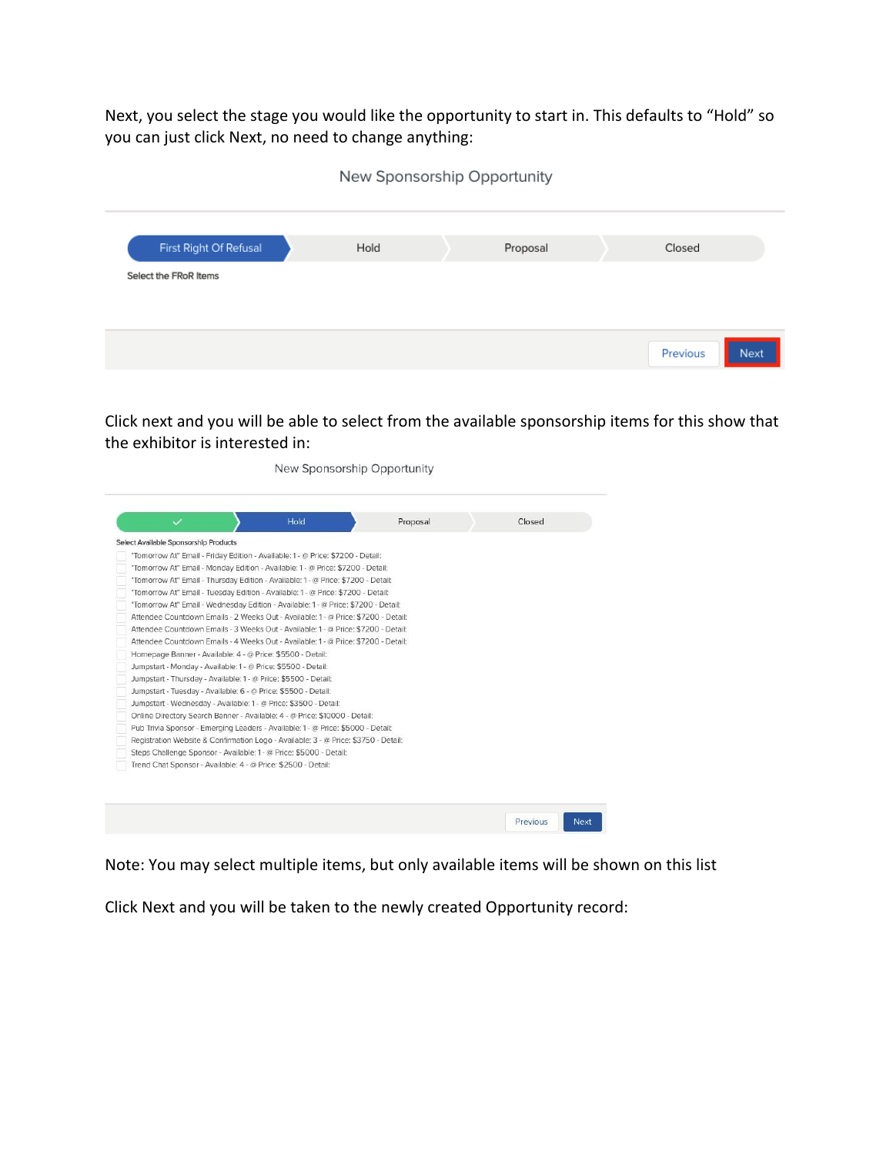Next, you select the stage you would like the opportunity to start in. This defaults to "Hold" so you can just click Next, no need to change anything:

|                       |                        |      | New Sponsorship Opportunity |                  |  |
|-----------------------|------------------------|------|-----------------------------|------------------|--|
|                       | First Right Of Refusal | Hold | Proposal                    | Closed           |  |
| Select the FRoR Items |                        |      |                             |                  |  |
|                       |                        |      |                             |                  |  |
|                       |                        |      |                             | Next<br>Previous |  |

Click next and you will be able to select from the available sponsorship items for this show that the exhibitor is interested in:

New Sponsorship Opportunity Proposal Closed Select Available Sponsorship Products "Tomorrow At" Email - Friday Edition - Available: 1 - @ Price: \$7200 - Detail: "Tomorrow At" Email - Monday Edition - Available: 1 - @ Price: \$7200 - Detail: "Tomorrow At" Email - Thursday Edition - Available: 1 - @ Price: \$7200 - Detail: "Tomorrow At" Email - Tuesday Edition - Available: 1 - @ Price: \$7200 - Detail: "Tomorrow At" Email - Wednesday Edition - Available: 1 - @ Price: \$7200 - Detail: Attendee Countdown Emails - 2 Weeks Out - Available: 1 - @ Price: \$7200 - Detail: Attendee Countdown Emails - 3 Weeks Out - Available: 1 - @ Price: \$7200 - Detail: Attendee Countdown Emails - 4 Weeks Out - Available: 1 - @ Price: \$7200 - Detail: Homepage Banner - Available: 4 - @ Price: \$5500 - Detail: Jumpstart - Monday - Available: 1 - @ Price: \$5500 - Detail: Jumpstart - Thursday - Available: 1 - @ Price: \$5500 - Detail: Jumpstart - Tuesday - Available: 6 - @ Price: \$5500 - Detail: Jumpstart - Wednesday - Available: 1 - @ Price: \$3500 - Detail: Online Directory Search Banner - Available: 4 - @ Price: \$10000 - Detail: Pub Trivia Sponsor - Emerging Leaders - Available: 1 - @ Price: \$5000 - Detail: Registration Website & Confirmation Logo - Available: 3 - @ Price: \$3750 - Detail: Steps Challenge Sponsor - Available: 1 - @ Price: \$5000 - Detail: Trend Chat Sponsor - Available: 4 - @ Price: \$2500 - Detail: Next Previous

Note: You may select multiple items, but only available items will be shown on this list

Click Next and you will be taken to the newly created Opportunity record: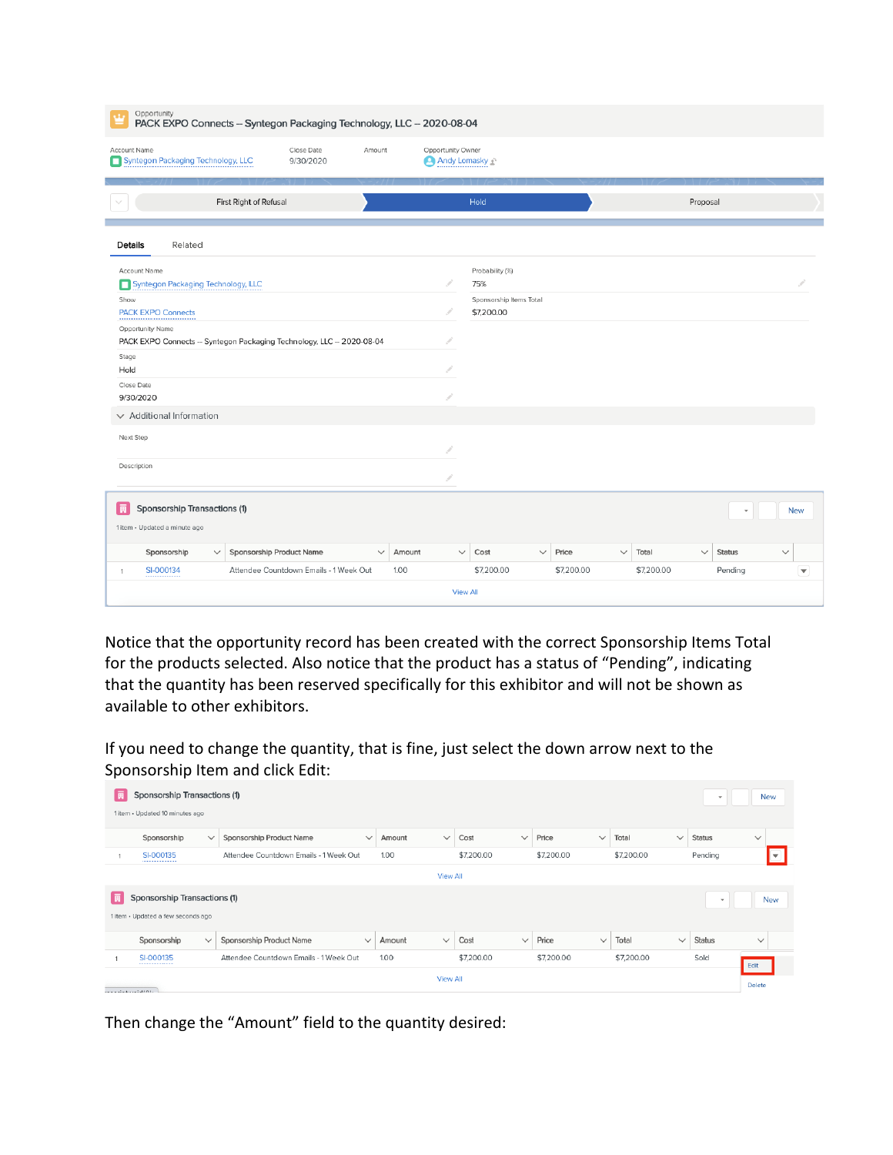| Opportunity<br>ú.                                                                                           | PACK EXPO Connects - Syntegon Packaging Technology, LLC -- 2020-08-04 |                          |                                                                        |                                |                                   |                                                                 |              |                     |              |                     |              |                          |                                      |
|-------------------------------------------------------------------------------------------------------------|-----------------------------------------------------------------------|--------------------------|------------------------------------------------------------------------|--------------------------------|-----------------------------------|-----------------------------------------------------------------|--------------|---------------------|--------------|---------------------|--------------|--------------------------|--------------------------------------|
| Account Name<br>Syntegon Packaging Technology, LLC                                                          |                                                                       |                          | Close Date<br>9/30/2020                                                | Amount                         | Opportunity Owner<br>Andy Lomasky |                                                                 |              |                     |              |                     |              |                          |                                      |
|                                                                                                             |                                                                       | First Right of Refusal   |                                                                        |                                |                                   | Hold                                                            |              |                     |              |                     | Proposal     |                          |                                      |
| Details                                                                                                     | Related                                                               |                          |                                                                        |                                |                                   |                                                                 |              |                     |              |                     |              |                          |                                      |
| Account Name<br>Syntegon Packaging Technology, LLC<br>Show<br><b>PACK EXPO Connects</b><br>Opportunity Name |                                                                       |                          | PACK EXPO Connects -- Syntegon Packaging Technology, LLC -- 2020-08-04 |                                |                                   | Probability (%)<br>75%<br>Sponsorship Items Total<br>\$7,200.00 |              |                     |              |                     |              |                          |                                      |
| Stage<br>Hold<br>Close Date<br>9/30/2020                                                                    |                                                                       |                          |                                                                        |                                |                                   |                                                                 |              |                     |              |                     |              |                          |                                      |
| $\vee$ Additional Information<br>Next Step<br>Description                                                   |                                                                       |                          |                                                                        |                                |                                   |                                                                 |              |                     |              |                     |              |                          |                                      |
| Sponsorship Transactions (1)<br>同<br>1 item · Updated a minute ago                                          |                                                                       |                          |                                                                        |                                |                                   |                                                                 |              |                     |              |                     |              |                          | <b>New</b>                           |
| Sponsorship<br>SI-000134<br>1                                                                               | $\checkmark$                                                          | Sponsorship Product Name | Attendee Countdown Emails - 1 Week Out                                 | $\checkmark$<br>Amount<br>1.00 |                                   | Cost<br>$\checkmark$<br>\$7,200.00                              | $\checkmark$ | Price<br>\$7,200.00 | $\checkmark$ | Total<br>\$7,200.00 | $\checkmark$ | <b>Status</b><br>Pending | $\checkmark$<br>$\blacktriangledown$ |
|                                                                                                             |                                                                       |                          |                                                                        |                                |                                   | <b>View All</b>                                                 |              |                     |              |                     |              |                          |                                      |

Notice that the opportunity record has been created with the correct Sponsorship Items Total for the products selected. Also notice that the product has a status of "Pending", indicating that the quantity has been reserved specifically for this exhibitor and will not be shown as available to other exhibitors.

If you need to change the quantity, that is fine, just select the down arrow next to the Sponsorship Item and click Edit:

| E | Sponsorship Transactions (1)       |              |                                          |                        |                      |                       |            |              | $\mathbf{v}$  |               | <b>New</b>               |
|---|------------------------------------|--------------|------------------------------------------|------------------------|----------------------|-----------------------|------------|--------------|---------------|---------------|--------------------------|
|   | 1 item · Updated 10 minutes ago    |              |                                          |                        |                      |                       |            |              |               |               |                          |
|   | Sponsorship                        | $\checkmark$ | Sponsorship Product Name<br>$\checkmark$ | $\checkmark$<br>Amount | Cost<br>$\checkmark$ | Price<br>$\checkmark$ | Total      | $\checkmark$ | <b>Status</b> | $\checkmark$  |                          |
|   | SI-000135                          |              | Attendee Countdown Emails - 1 Week Out   | 1.00                   | \$7,200.00           | \$7,200.00            | \$7,200.00 |              | Pending       |               | $\overline{\phantom{a}}$ |
|   |                                    |              |                                          | <b>View All</b>        |                      |                       |            |              |               |               |                          |
|   | Sponsorship Transactions (1)       |              |                                          |                        |                      |                       |            |              | $\;$          |               | <b>New</b>               |
|   | 1 item · Updated a few seconds ago |              |                                          |                        |                      |                       |            |              |               |               |                          |
|   | Sponsorship                        | $\checkmark$ | Sponsorship Product Name<br>$\checkmark$ | $\checkmark$<br>Amount | Cost<br>$\checkmark$ | Price<br>$\checkmark$ | Total      | $\checkmark$ | Status        | $\checkmark$  |                          |
|   | SI-000135                          |              | Attendee Countdown Emails - 1 Week Out   | 1.00                   | \$7,200.00           | \$7,200.00            | \$7,200.00 |              | Sold          | Edit          |                          |
|   |                                    |              |                                          | <b>View All</b>        |                      |                       |            |              |               | <b>Delete</b> |                          |

Then change the "Amount" field to the quantity desired: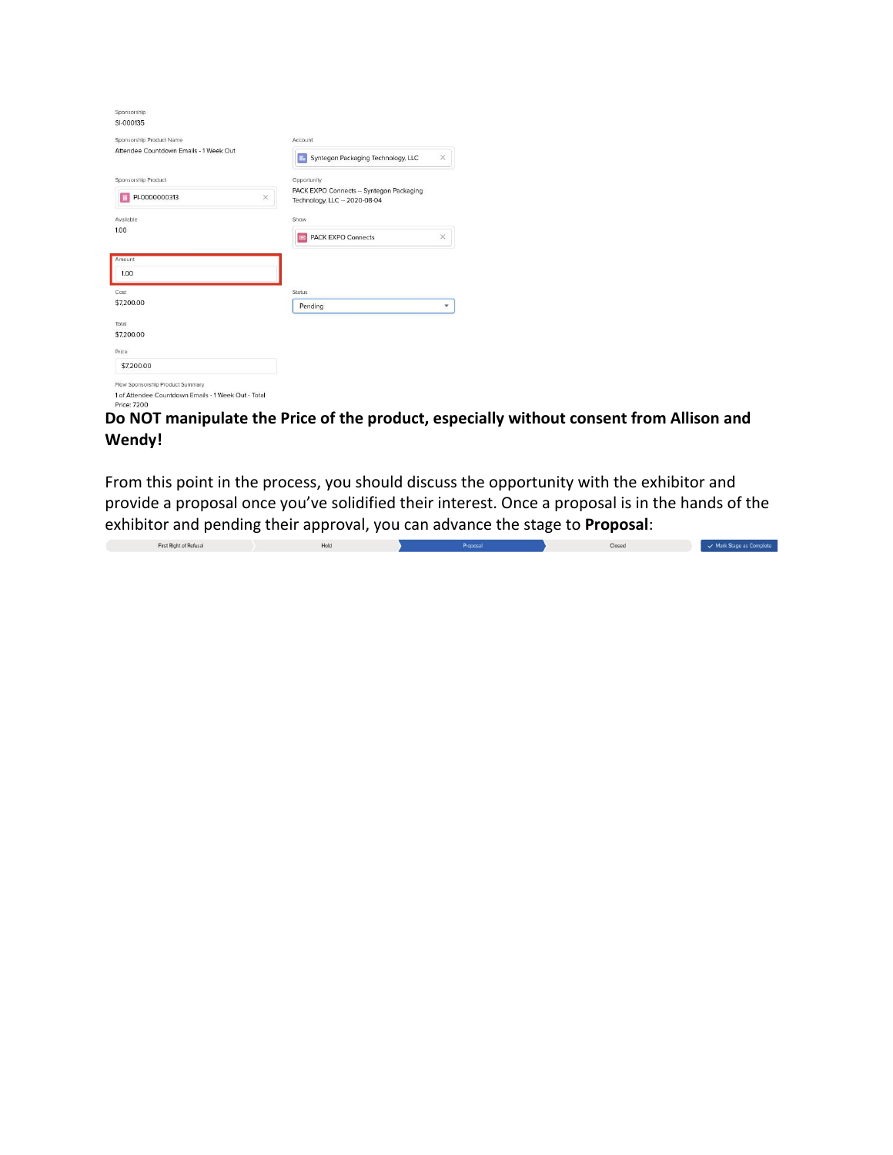| Sponsorship                                                        |                                                                         |
|--------------------------------------------------------------------|-------------------------------------------------------------------------|
| SI-000135                                                          |                                                                         |
| Sponsorship Product Name                                           | Account                                                                 |
| Attendee Countdown Emails - 1 Week Out                             | Syntegon Packaging Technology, LLC<br>$\times$                          |
| Sponsorship Product                                                | Opportunity                                                             |
| PI-0000000313<br>$\times$                                          | PACK EXPO Connects - Syntegon Packaging<br>Technology, LLC - 2020-08-04 |
| Available                                                          | Show                                                                    |
| 1.00                                                               | <b>PACK EXPO Connects</b><br>×<br><b>SHEET</b>                          |
| Amount                                                             |                                                                         |
| 1.00                                                               |                                                                         |
| Cost                                                               | Status                                                                  |
| \$7,200.00                                                         | Pending<br>v                                                            |
| Total                                                              |                                                                         |
| \$7,200.00                                                         |                                                                         |
| Price                                                              |                                                                         |
| \$7,200.00                                                         |                                                                         |
| Flow Sponsorship Product Summary                                   |                                                                         |
| 1 of Attendee Countdown Emails - 1 Week Out - Total<br>Price: 7200 |                                                                         |

# **Do NOT manipulate the Price of the product, especially without consent from Allison and Wendy!**

From this point in the process, you should discuss the opportunity with the exhibitor and provide a proposal once you've solidified their interest. Once a proposal is in the hands of the exhibitor and pending their approval, you can advance the stage to **Proposal**:

First Right of Refusal Hold  $\mathbf{v}$  $\overline{\phantom{a}}$  Closed  $\overline{\phantom{a}}$  Mark Stage as Complete